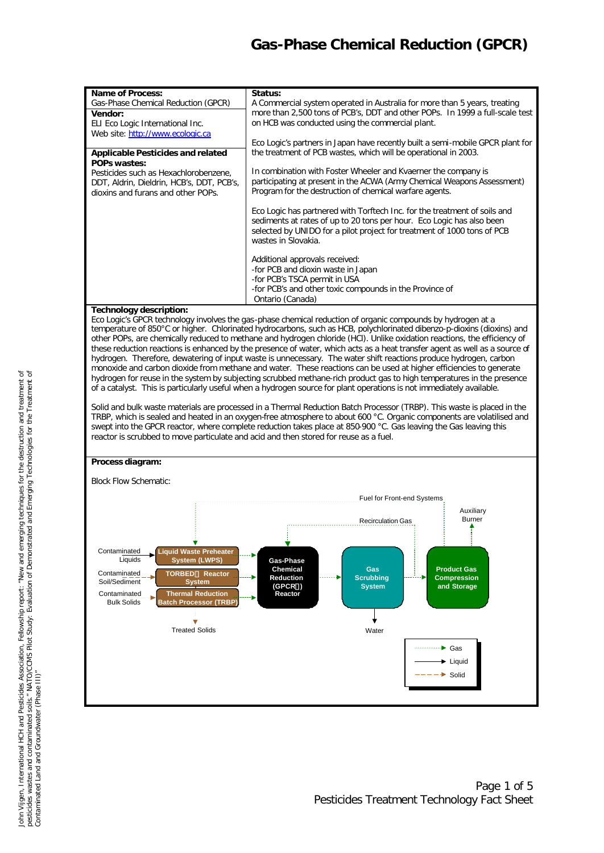# *Gas-Phase Chemical Reduction (GPCR)*

| <b>Name of Process:</b>                   | Status:                                                                                                                                            |
|-------------------------------------------|----------------------------------------------------------------------------------------------------------------------------------------------------|
| Gas-Phase Chemical Reduction (GPCR)       | A Commercial system operated in Australia for more than 5 years, treating                                                                          |
| Vendor:                                   | more than 2,500 tons of PCB's, DDT and other POPs. In 1999 a full-scale test                                                                       |
| ELI Eco Logic International Inc.          | on HCB was conducted using the commercial plant.                                                                                                   |
| Web site: http://www.ecologic.ca          |                                                                                                                                                    |
|                                           | Eco Logic's partners in Japan have recently built a semi-mobile GPCR plant for                                                                     |
| Applicable Pesticides and related         | the treatment of PCB wastes, which will be operational in 2003.                                                                                    |
| <b>POPs wastes:</b>                       |                                                                                                                                                    |
| Pesticides such as Hexachlorobenzene,     | In combination with Foster Wheeler and Kvaerner the company is                                                                                     |
| DDT, Aldrin, Dieldrin, HCB's, DDT, PCB's, | participating at present in the ACWA (Army Chemical Weapons Assessment)                                                                            |
| dioxins and furans and other POPs.        | Program for the destruction of chemical warfare agents.                                                                                            |
|                                           |                                                                                                                                                    |
|                                           | Eco Logic has partnered with Torftech Inc. for the treatment of soils and<br>sediments at rates of up to 20 tons per hour. Eco Logic has also been |
|                                           | selected by UNIDO for a pilot project for treatment of 1000 tons of PCB                                                                            |
|                                           | wastes in Slovakia.                                                                                                                                |
|                                           |                                                                                                                                                    |
|                                           | Additional approvals received:                                                                                                                     |
|                                           | -for PCB and dioxin waste in Japan                                                                                                                 |
|                                           | -for PCB's TSCA permit in USA                                                                                                                      |
|                                           | -for PCB's and other toxic compounds in the Province of                                                                                            |
|                                           | Ontario (Canada)                                                                                                                                   |

### **Technology description:**

Eco Logic's GPCR technology involves the gas-phase chemical reduction of organic compounds by hydrogen at a temperature of 850°C or higher. Chlorinated hydrocarbons, such as HCB, polychlorinated dibenzo-p-dioxins (dioxins) and other POPs, are chemically reduced to methane and hydrogen chloride (HCl). Unlike oxidation reactions, the efficiency of these reduction reactions is enhanced by the presence of water, which acts as a heat transfer agent as well as a source of hydrogen. Therefore, dewatering of input waste is unnecessary. The water shift reactions produce hydrogen, carbon monoxide and carbon dioxide from methane and water. These reactions can be used at higher efficiencies to generate hydrogen for reuse in the system by subjecting scrubbed methane-rich product gas to high temperatures in the presence of a catalyst. This is particularly useful when a hydrogen source for plant operations is not immediately available.

Solid and bulk waste materials are processed in a Thermal Reduction Batch Processor (TRBP). This waste is placed in the TRBP, which is sealed and heated in an oxygen-free atmosphere to about 600 °C. Organic components are volatilised and swept into the GPCR reactor, where complete reduction takes place at 850-900 °C. Gas leaving the Gas leaving this reactor is scrubbed to move particulate and acid and then stored for reuse as a fuel.

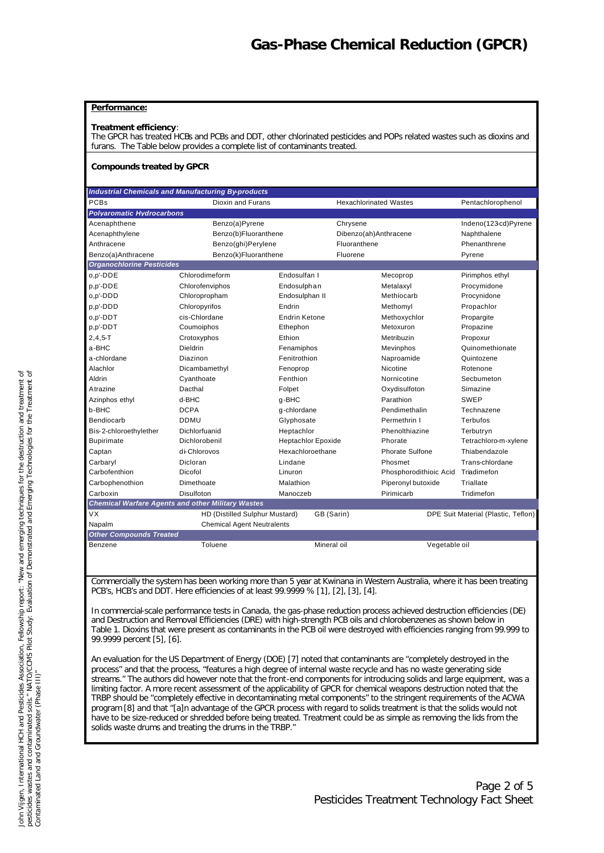### **Performance:**

#### **Treatment efficiency**:

The GPCR has treated HCBs and PCBs and DDT, other chlorinated pesticides and POPs related wastes such as dioxins and furans. The Table below provides a complete list of contaminants treated.

#### **Compounds treated by GPCR**

|                                  | <b>Industrial Chemicals and Manufacturing By-products</b> |                           |                               |                                     |
|----------------------------------|-----------------------------------------------------------|---------------------------|-------------------------------|-------------------------------------|
| PCBs                             | <b>Dioxin and Furans</b>                                  |                           | <b>Hexachlorinated Wastes</b> | Pentachlorophenol                   |
| <b>Polvaromatic Hydrocarbons</b> |                                                           |                           |                               |                                     |
| Acenaphthene                     | Benzo(a)Pyrene                                            |                           | Chrysene                      | Indeno(123cd)Pyrene                 |
| Acenaphthylene                   | Benzo(b)Fluoranthene                                      |                           | Dibenzo(ah)Anthracene         | Naphthalene                         |
| Anthracene                       | Benzo(ghi)Perylene                                        |                           | Fluoranthene                  | Phenanthrene                        |
| Benzo(a)Anthracene               | Benzo(k)Fluoranthene                                      |                           | Fluorene                      | Pyrene                              |
| <b>Organochlorine Pesticides</b> |                                                           |                           |                               |                                     |
| o,p'-DDE                         | Chlorodimeform                                            | Endosulfan I              | Mecoprop                      | Pirimphos ethyl                     |
| p,p'-DDE                         | Chlorofenviphos                                           | Endosulphan               | Metalaxyl                     | Procymidone                         |
| o,p'-DDD                         | Chloropropham                                             | Endosulphan II            | Methiocarb                    | Procynidone                         |
| p,p'-DDD                         | Chloropyrifos                                             | Endrin                    | Methomyl                      | Propachlor                          |
| o,p'-DDT                         | cis-Chlordane                                             | <b>Endrin Ketone</b>      | Methoxychlor                  | Propargite                          |
| p,p'-DDT                         | Coumoiphos                                                | Ethephon                  | Metoxuron                     | Propazine                           |
| $2, 4, 5 - T$                    | Crotoxyphos                                               | Ethion                    | Metribuzin                    | Propoxur                            |
| a-BHC                            | Dieldrin                                                  | Fenamiphos                | Mevinphos                     | Quinomethionate                     |
| a-chlordane                      | Diazinon                                                  | Fenitrothion              | Naproamide                    | Quintozene                          |
| Alachlor                         | Dicambamethyl                                             | Fenoprop                  | Nicotine                      | Rotenone                            |
| Aldrin                           | Cyanthoate                                                | Fenthion                  | Nornicotine                   | Secbumeton                          |
| Atrazine                         | Dacthal                                                   | Folpet                    | Oxydisulfoton                 | Simazine                            |
| Azinphos ethyl                   | d-BHC                                                     | q-BHC                     | Parathion                     | <b>SWEP</b>                         |
| b-BHC                            | <b>DCPA</b>                                               | q-chlordane               | Pendimethalin                 | Technazene                          |
| Bendiocarb                       | <b>DDMU</b>                                               | Glyphosate                | Permethrin I                  | Terbufos                            |
| Bis-2-chloroethylether           | Dichlorfuanid                                             | Heptachlor                | Phenolthiazine                | Terbutryn                           |
| <b>Bupirimate</b>                | Dichlorobenil                                             | <b>Heptachlor Epoxide</b> | Phorate                       | Tetrachloro-m-xylene                |
| Captan                           | di-Chlorovos                                              | Hexachloroethane          | Phorate Sulfone               | Thiabendazole                       |
| Carbaryl                         | Dicloran                                                  | Lindane                   | Phosmet                       | Trans-chlordane                     |
| Carbofenthion                    | Dicofol                                                   | Linuron                   | Phosphorodithioic Acid        | Triadimefon                         |
| Carbophenothion                  | Dimethoate                                                | Malathion                 | Piperonyl butoxide            | Triallate                           |
| Carboxin                         | Disulfoton                                                | Manoczeb                  | Pirimicarb                    | Tridimefon                          |
|                                  | <b>Chemical Warfare Agents and other Military Wastes</b>  |                           |                               |                                     |
| <b>VX</b>                        | HD (Distilled Sulphur Mustard)                            |                           | GB (Sarin)                    | DPE Suit Material (Plastic, Teflon) |
| Napalm                           | <b>Chemical Agent Neutralents</b>                         |                           |                               |                                     |

*Other Compounds Treated*

Benzene Toluene Mineral oil Vegetable oil

Commercially the system has been working more than 5 year at Kwinana in Western Australia, where it has been treating PCB's, HCB's and DDT. Here efficiencies of at least 99.9999 % [1], [2], [3], [4].

In commercial-scale performance tests in Canada, the gas-phase reduction process achieved destruction efficiencies (DE) and Destruction and Removal Efficiencies (DRE) with high-strength PCB oils and chlorobenzenes as shown below in Table 1. Dioxins that were present as contaminants in the PCB oil were destroyed with efficiencies ranging from 99.999 to 99.9999 percent [5], [6].

An evaluation for the US Department of Energy (DOE) [7] noted that contaminants are "completely destroyed in the process" and that the process, "features a high degree of internal waste recycle and has no waste generating side streams." The authors did however note that the front-end components for introducing solids and large equipment, was a limiting factor. A more recent assessment of the applicability of GPCR for chemical weapons destruction noted that the TRBP should be "completely effective in decontaminating metal components" to the stringent requirements of the ACWA program [8] and that "[a]n advantage of the GPCR process with regard to solids treatment is that the solids would not have to be size-reduced or shredded before being treated. Treatment could be as simple as removing the lids from the solids waste drums and treating the drums in the TRBP.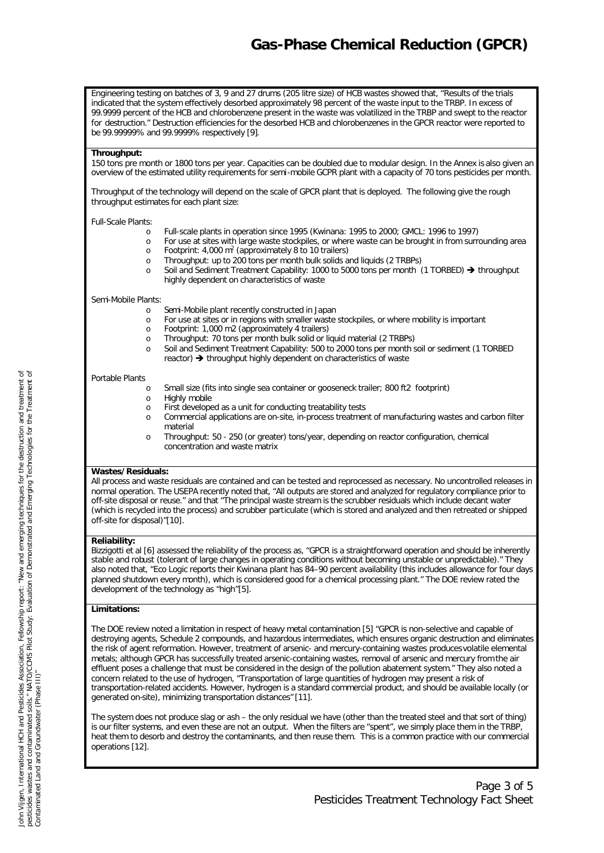# *Gas-Phase Chemical Reduction (GPCR)*

Engineering testing on batches of 3, 9 and 27 drums (205 litre size) of HCB wastes showed that, "Results of the trials indicated that the system effectively desorbed approximately 98 percent of the waste input to the TRBP. In excess of 99.9999 percent of the HCB and chlorobenzene present in the waste was volatilized in the TRBP and swept to the reactor for destruction." Destruction efficiencies for the desorbed HCB and chlorobenzenes in the GPCR reactor were reported to be 99.99999% and 99.9999% respectively [9].

#### **Throughput:**

150 tons pre month or 1800 tons per year. Capacities can be doubled due to modular design. In the Annex is also given an overview of the estimated utility requirements for semi-mobile GCPR plant with a capacity of 70 tons pesticides per month.

Throughput of the technology will depend on the scale of GPCR plant that is deployed. The following give the rough throughput estimates for each plant size:

Full-Scale Plants:

- o Full-scale plants in operation since 1995 (Kwinana: 1995 to 2000; GMCL: 1996 to 1997)
- o For use at sites with large waste stockpiles, or where waste can be brought in from surrounding area o Footprint: 4,000 m<sup>2</sup> (approximately 8 to 10 trailers)
- o Throughput: up to 200 tons per month bulk solids and liquids (2 TRBPs)
- o Soil and Sediment Treatment Capability: 1000 to 5000 tons per month (1 TORBED) Ë *throughput highly dependent on characteristics of waste*

#### Semi-Mobile Plants:

- o Semi-Mobile plant recently constructed in Japan
- o For use at sites or in regions with smaller waste stockpiles, or where mobility is important
- o Footprint: 1,000 m2 (approximately 4 trailers)
- o Throughput: 70 tons per month bulk solid or liquid material (2 TRBPs)
- o Soil and Sediment Treatment Capability: 500 to 2000 tons per month soil or sediment (1 TORBED  $reactor)$   $\rightarrow$  throughput highly dependent on characteristics of waste

#### Portable Plants

- o Small size (fits into single sea container or gooseneck trailer; 800 ft2 footprint)
- o Highly mobile
- o First developed as a unit for conducting treatability tests
- o Commercial applications are on-site, in-process treatment of manufacturing wastes and carbon filter material
- o Throughput: 50 250 (or greater) tons/year, depending on reactor configuration, chemical concentration and waste matrix

### **Wastes/Residuals:**

All process and waste residuals are contained and can be tested and reprocessed as necessary. No uncontrolled releases in normal operation. The USEPA recently noted that, "All outputs are stored and analyzed for regulatory compliance prior to off-site disposal or reuse." and that "The principal waste stream is the scrubber residuals which include decant water (which is recycled into the process) and scrubber particulate (which is stored and analyzed and then retreated or shipped off-site for disposal)"[10].

### **Reliability:**

Bizzigotti et al [6] assessed the reliability of the process as, "GPCR is a straightforward operation and should be inherently stable and robust (tolerant of large changes in operating conditions without becoming unstable or unpredictable)." They also noted that, "Eco Logic reports their Kwinana plant has 84–90 percent availability (this includes allowance for four days planned shutdown every month), which is considered good for a chemical processing plant." The DOE review rated the development of the technology as "high"[5].

### **Limitations:**

The DOE review noted a limitation in respect of heavy metal contamination [5] "GPCR is non-selective and capable of destroying agents, Schedule 2 compounds, and hazardous intermediates, which ensures organic destruction and eliminates the risk of agent reformation. However, treatment of arsenic- and mercury-containing wastes produces volatile elemental metals; although GPCR has successfully treated arsenic-containing wastes, removal of arsenic and mercury from the air effluent poses a challenge that must be considered in the design of the pollution abatement system." They also noted a concern related to the use of hydrogen, "Transportation of large quantities of hydrogen may present a risk of transportation-related accidents. However, hydrogen is a standard commercial product, and should be available locally (or generated on-site), minimizing transportation distances" [11].

The system does not produce slag or ash – the only residual we have (other than the treated steel and that sort of thing) is our filter systems, and even these are not an output. When the filters are "spent", we simply place them in the TRBP, heat them to desorb and destroy the contaminants, and then reuse them. This is a common practice with our commercial operations [12].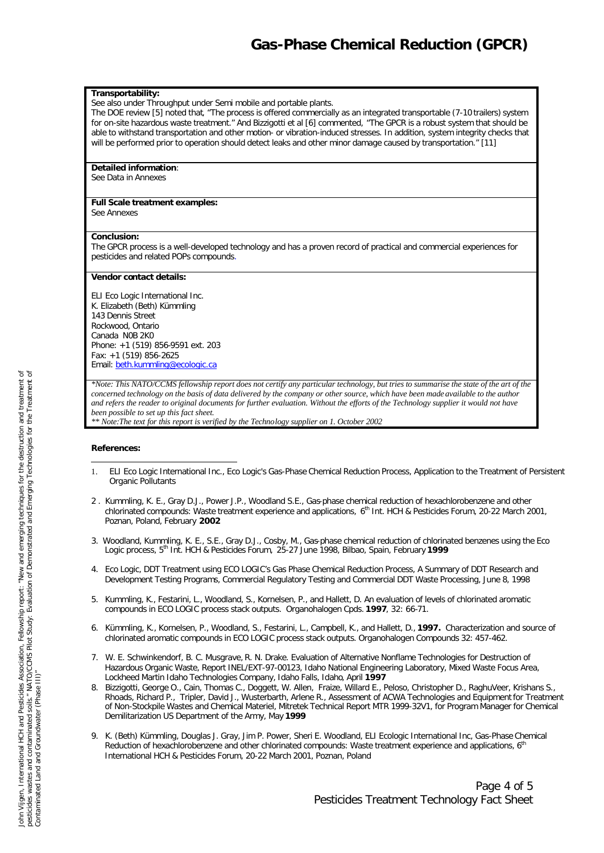#### **Transportability:**

See also under Throughput under Semi mobile and portable plants.

The DOE review [5] noted that, "The process is offered commercially as an integrated transportable (7-10 trailers) system for on-site hazardous waste treatment." And Bizzigotti et al [6] commented, "The GPCR is a robust system that should be able to withstand transportation and other motion- or vibration-induced stresses. In addition, system integrity checks that will be performed prior to operation should detect leaks and other minor damage caused by transportation." [11]

#### **Detailed information**:

See Data in Annexes

## **Full Scale treatment examples:**

See Annexes

#### **Conclusion:**

The GPCR process is a well-developed technology and has a proven record of practical and commercial experiences for pesticides and related POPs compounds.

#### **Vendor contact details:**

ELI Eco Logic International Inc. K. Elizabeth (Beth) Kümmling 143 Dennis Street Rockwood, Ontario Canada N0B 2K0 Phone: +1 (519) 856-9591 ext. 203 Fax: +1 (519) 856-2625 Email: beth.kummling@ecologic.ca

*\*Note: This NATO/CCMS fellowship report does not certify any particular technology, but tries to summarise the state of the art of the concerned technology on the basis of data delivered by the company or other source, which have been made available to the author and refers the reader to original documents for further evaluation. Without the efforts of the Technology supplier it would not have been possible to set up this fact sheet. \*\* Note:The text for this report is verified by the Technology supplier on 1. October 2002*

#### **References:**

- l 1. ELI Eco Logic International Inc., Eco Logic's Gas-Phase Chemical Reduction Process, Application to the Treatment of Persistent Organic Pollutants
- 2 . Kummling, K. E., Gray D.J., Power J.P., Woodland S.E., Gas-phase chemical reduction of hexachlorobenzene and other chlorinated compounds: Waste treatment experience and applications,  $6<sup>th</sup>$  Int. HCH & Pesticides Forum, 20-22 March 2001, Poznan, Poland, February **2002**
- 3. Woodland, Kummling, K. E., S.E., Gray D.J., Cosby, M., Gas-phase chemical reduction of chlorinated benzenes using the Eco Logic process, 5th Int. HCH & Pesticides Forum, 25-27 June 1998, Bilbao, Spain, February **1999**
- 4. Eco Logic, DDT Treatment using ECO LOGIC's Gas Phase Chemical Reduction Process, A Summary of DDT Research and Development Testing Programs, Commercial Regulatory Testing and Commercial DDT Waste Processing, June 8, 1998
- 5. Kummling, K., Festarini, L., Woodland, S., Kornelsen, P., and Hallett, D. An evaluation of levels of chlorinated aromatic compounds in ECO LOGIC process stack outputs. Organohalogen Cpds. **1997**, 32: 66-71.
- 6. Kümmling, K., Kornelsen, P., Woodland, S., Festarini, L., Campbell, K., and Hallett, D., **1997.** Characterization and source of chlorinated aromatic compounds in ECO LOGIC process stack outputs. Organohalogen Compounds 32: 457-462.
- 7. W. E. Schwinkendorf, B. C. Musgrave, R. N. Drake. Evaluation of Alternative Nonflame Technologies for Destruction of Hazardous Organic Waste, Report INEL/EXT-97-00123, Idaho National Engineering Laboratory, Mixed Waste Focus Area, Lockheed Martin Idaho Technologies Company, Idaho Falls, Idaho, April **1997**
- 8. Bizzigotti, George O., Cain, Thomas C., Doggett, W. Allen, Fraize, Willard E., Peloso, Christopher D., RaghuVeer, Krishans S., Rhoads, Richard P., Tripler, David J., Wusterbarth, Arlene R., Assessment of ACWA Technologies and Equipment for Treatment of Non-Stockpile Wastes and Chemical Materiel, Mitretek Technical Report MTR 1999-32V1, for Program Manager for Chemical Demilitarization US Department of the Army, May **1999**
- 9. K. (Beth) Kümmling, Douglas J. Gray, Jim P. Power, Sheri E. Woodland, ELI Ecologic International Inc, Gas-Phase Chemical Reduction of hexachlorobenzene and other chlorinated compounds: Waste treatment experience and applications, 6<sup>th</sup> International HCH & Pesticides Forum, 20-22 March 2001, Poznan, Poland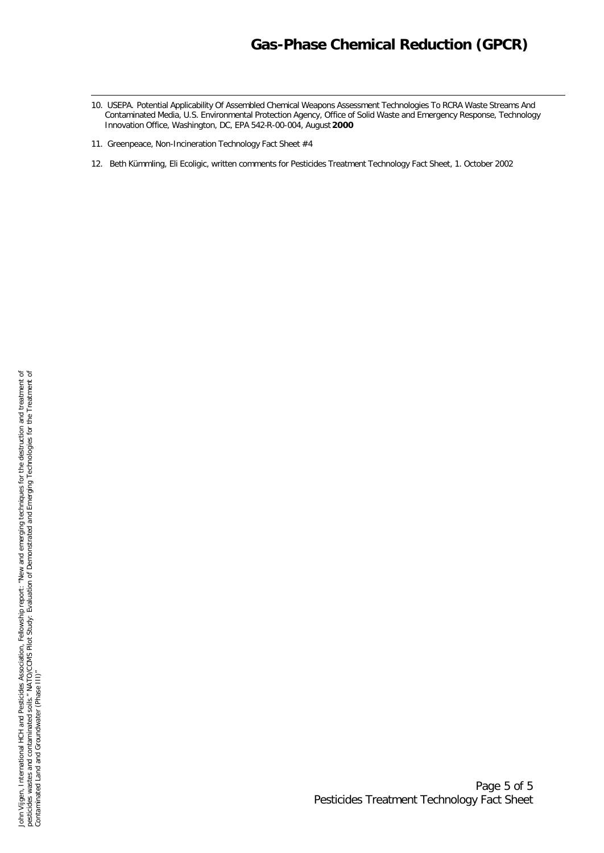# *Gas-Phase Chemical Reduction (GPCR)*

- 10. USEPA. Potential Applicability Of Assembled Chemical Weapons Assessment Technologies To RCRA Waste Streams And Contaminated Media, U.S. Environmental Protection Agency, Office of Solid Waste and Emergency Response, Technology Innovation Office, Washington, DC, EPA 542-R-00-004, August **2000**
- 11. Greenpeace, Non-Incineration Technology Fact Sheet #4

l

12. Beth Kümmling, Eli Ecoligic, written comments for Pesticides Treatment Technology Fact Sheet, 1. October 2002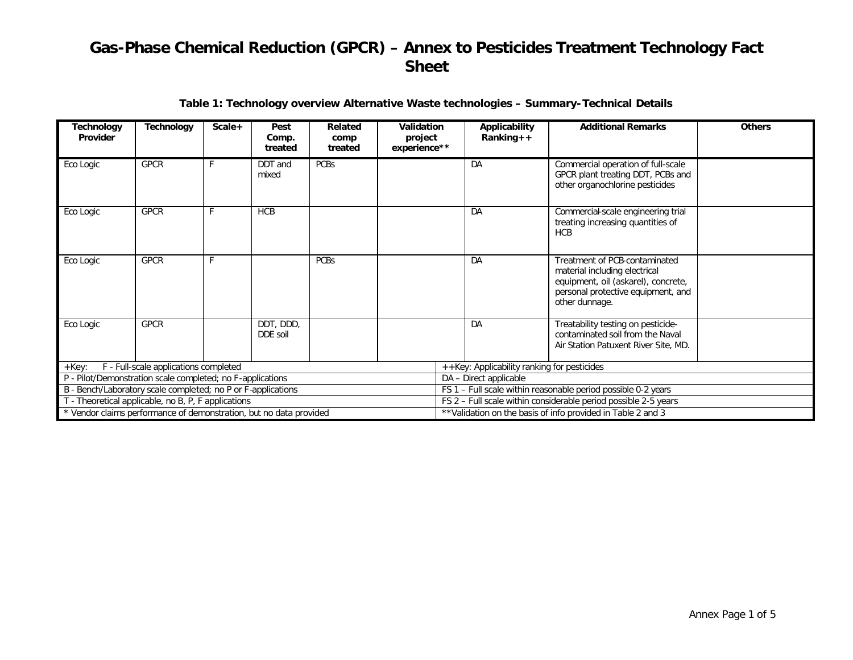| Technology<br>Provider                                             | <b>Technology</b>                     | Scale+ | Pest<br>Comp.<br>treated | Related<br>comp<br>treated | Validation<br>project<br>experience** | Applicability<br>$Ranking++$                                 | <b>Additional Remarks</b>                                                                                                                                     | <b>Others</b> |
|--------------------------------------------------------------------|---------------------------------------|--------|--------------------------|----------------------------|---------------------------------------|--------------------------------------------------------------|---------------------------------------------------------------------------------------------------------------------------------------------------------------|---------------|
| Eco Logic                                                          | <b>GPCR</b>                           |        | DDT and<br>mixed         | <b>PCBs</b>                |                                       | DA                                                           | Commercial operation of full-scale<br>GPCR plant treating DDT, PCBs and<br>other organochlorine pesticides                                                    |               |
| Eco Logic                                                          | <b>GPCR</b>                           |        | <b>HCB</b>               |                            |                                       | DA                                                           | Commercial-scale engineering trial<br>treating increasing quantities of<br><b>HCB</b>                                                                         |               |
| Eco Logic                                                          | <b>GPCR</b>                           | F      |                          | <b>PCBs</b>                |                                       | DA                                                           | Treatment of PCB-contaminated<br>material including electrical<br>equipment, oil (askarel), concrete,<br>personal protective equipment, and<br>other dunnage. |               |
| Eco Logic                                                          | <b>GPCR</b>                           |        | DDT, DDD,<br>DDE soil    |                            |                                       | DA                                                           | Treatability testing on pesticide-<br>contaminated soil from the Naval<br>Air Station Patuxent River Site, MD.                                                |               |
| $+$ $Key:$                                                         | F - Full-scale applications completed |        |                          |                            |                                       | ++Key: Applicability ranking for pesticides                  |                                                                                                                                                               |               |
| P - Pilot/Demonstration scale completed; no F-applications         |                                       |        |                          |                            |                                       | DA - Direct applicable                                       |                                                                                                                                                               |               |
| B - Bench/Laboratory scale completed; no P or F-applications       |                                       |        |                          |                            |                                       |                                                              | FS 1 - Full scale within reasonable period possible 0-2 years                                                                                                 |               |
| T - Theoretical applicable, no B, P, F applications                |                                       |        |                          |                            |                                       |                                                              | FS 2 - Full scale within considerable period possible 2-5 years                                                                                               |               |
| * Vendor claims performance of demonstration, but no data provided |                                       |        |                          |                            |                                       | ** Validation on the basis of info provided in Table 2 and 3 |                                                                                                                                                               |               |

## **Table 1: Technology overview Alternative Waste technologies – Summary-Technical Details**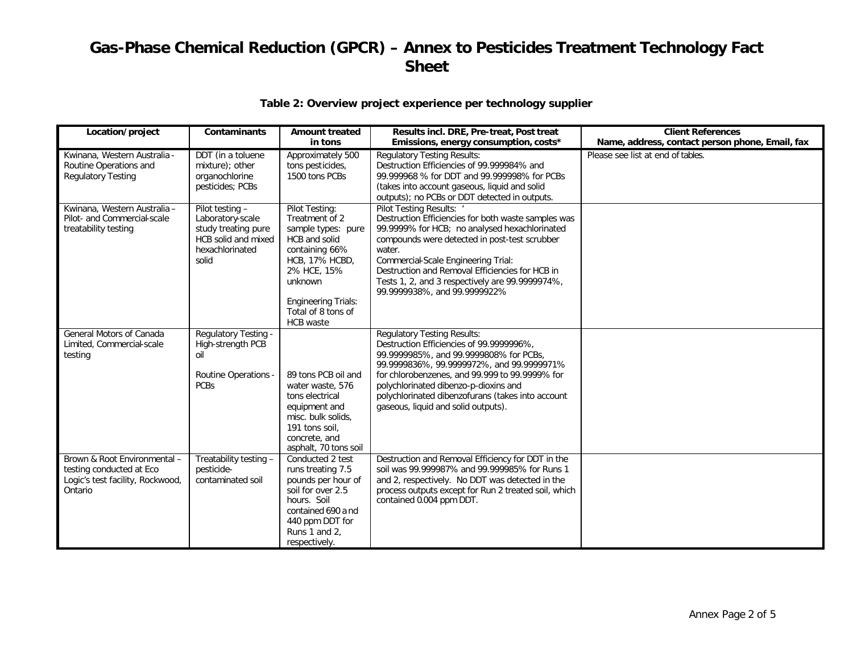# **Table 2: Overview project experience per technology supplier**

| Location/project                                                                                        | <b>Contaminants</b>                                                                                           | <b>Amount treated</b><br>in tons                                                                                                                                                                              | Results incl. DRE, Pre-treat, Post treat<br>Emissions, energy consumption, costs*                                                                                                                                                                                                                                                                                        | <b>Client References</b><br>Name, address, contact person phone, Email, fax |
|---------------------------------------------------------------------------------------------------------|---------------------------------------------------------------------------------------------------------------|---------------------------------------------------------------------------------------------------------------------------------------------------------------------------------------------------------------|--------------------------------------------------------------------------------------------------------------------------------------------------------------------------------------------------------------------------------------------------------------------------------------------------------------------------------------------------------------------------|-----------------------------------------------------------------------------|
| Kwinana, Western Australia -<br>Routine Operations and<br><b>Regulatory Testing</b>                     | DDT (in a toluene<br>mixture); other<br>organochlorine<br>pesticides; PCBs                                    | Approximately 500<br>tons pesticides,<br>1500 tons PCBs                                                                                                                                                       | <b>Regulatory Testing Results:</b><br>Destruction Efficiencies of 99.999984% and<br>99.999968 % for DDT and 99.999998% for PCBs<br>(takes into account gaseous, liquid and solid<br>outputs); no PCBs or DDT detected in outputs.                                                                                                                                        | Please see list at end of tables.                                           |
| Kwinana, Western Australia -<br>Pilot- and Commercial-scale<br>treatability testing                     | Pilot testing -<br>Laboratory-scale<br>study treating pure<br>HCB solid and mixed<br>hexachlorinated<br>solid | Pilot Testing:<br>Treatment of 2<br>sample types: pure<br>HCB and solid<br>containing 66%<br><b>HCB, 17% HCBD,</b><br>2% HCE, 15%<br>unknown<br><b>Engineering Trials:</b><br>Total of 8 tons of<br>HCB waste | Pilot Testing Results: '<br>Destruction Efficiencies for both waste samples was<br>99.9999% for HCB; no analysed hexachlorinated<br>compounds were detected in post-test scrubber<br>water.<br>Commercial-Scale Engineering Trial:<br>Destruction and Removal Efficiencies for HCB in<br>Tests 1, 2, and 3 respectively are 99.9999974%,<br>99.9999938%, and 99.9999922% |                                                                             |
| General Motors of Canada<br>Limited, Commercial-scale<br>testing                                        | Regulatory Testing -<br>High-strength PCB<br>nil<br><b>Routine Operations -</b><br><b>PCBs</b>                | 89 tons PCB oil and<br>water waste, 576<br>tons electrical<br>equipment and<br>misc. bulk solids.<br>191 tons soil,<br>concrete, and<br>asphalt, 70 tons soil                                                 | <b>Regulatory Testing Results:</b><br>Destruction Efficiencies of 99.9999996%,<br>99.9999985%, and 99.9999808% for PCBs,<br>99.9999836%, 99.9999972%, and 99.9999971%<br>for chlorobenzenes, and 99.999 to 99.9999% for<br>polychlorinated dibenzo-p-dioxins and<br>polychlorinated dibenzofurans (takes into account<br>gaseous, liquid and solid outputs).             |                                                                             |
| Brown & Root Environmental -<br>testing conducted at Eco<br>Logic's test facility, Rockwood,<br>Ontario | Treatability testing -<br>pesticide-<br>contaminated soil                                                     | Conducted 2 test<br>runs treating 7.5<br>pounds per hour of<br>soil for over 2.5<br>hours. Soil<br>contained 690 and<br>440 ppm DDT for<br>Runs 1 and 2,<br>respectively.                                     | Destruction and Removal Efficiency for DDT in the<br>soil was 99.999987% and 99.999985% for Runs 1<br>and 2, respectively. No DDT was detected in the<br>process outputs except for Run 2 treated soil, which<br>contained 0.004 ppm DDT.                                                                                                                                |                                                                             |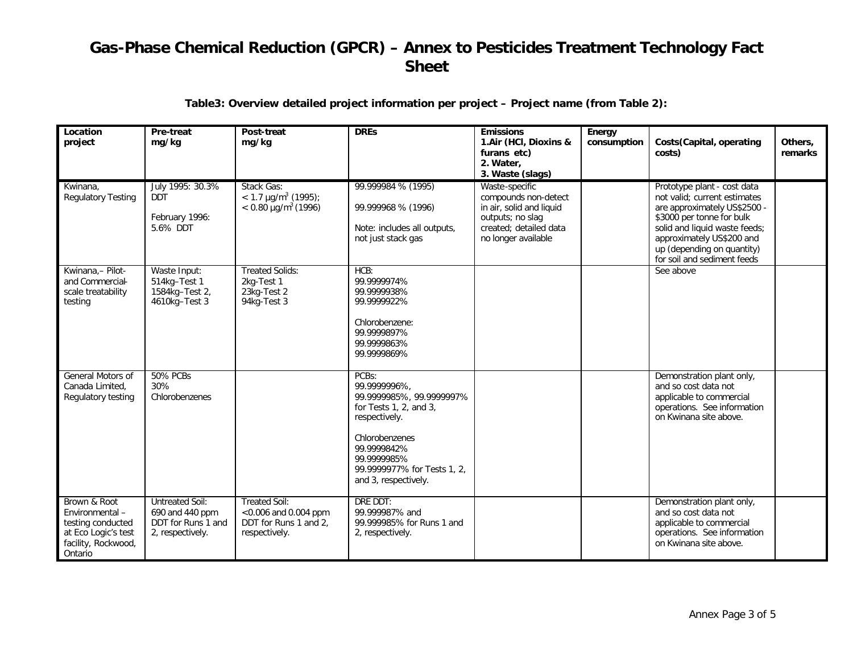### **Table3: Overview detailed project information per project – Project name (from Table 2):**

| Location<br>project                                                                                          | Pre-treat<br>mg/kg                                                                  | Post-treat<br>mg/kg                                                                    | <b>DREs</b>                                                                                                                                                                                         | <b>Emissions</b><br>1.Air (HCI, Dioxins &<br>furans etc)<br>2. Water,<br>3. Waste (slags)                                               | Energy<br>consumption | Costs (Capital, operating<br>costs)                                                                                                                                                                                                                 | Others,<br>remarks |
|--------------------------------------------------------------------------------------------------------------|-------------------------------------------------------------------------------------|----------------------------------------------------------------------------------------|-----------------------------------------------------------------------------------------------------------------------------------------------------------------------------------------------------|-----------------------------------------------------------------------------------------------------------------------------------------|-----------------------|-----------------------------------------------------------------------------------------------------------------------------------------------------------------------------------------------------------------------------------------------------|--------------------|
| Kwinana.<br><b>Regulatory Testing</b>                                                                        | July 1995: 30.3%<br><b>DDT</b><br>February 1996:<br>5.6% DDT                        | Stack Gas:<br>$<$ 1.7 µg/m <sup>3</sup> (1995);<br>$< 0.80 \mu g/m^3 (1996)$           | 99.999984 % (1995)<br>99.999968 % (1996)<br>Note: includes all outputs,<br>not just stack gas                                                                                                       | Waste-specific<br>compounds non-detect<br>in air, solid and liquid<br>outputs; no slag<br>created; detailed data<br>no longer available |                       | Prototype plant - cost data<br>not valid: current estimates<br>are approximately US\$2500 -<br>\$3000 per tonne for bulk<br>solid and liquid waste feeds;<br>approximately US\$200 and<br>up (depending on quantity)<br>for soil and sediment feeds |                    |
| Kwinana,- Pilot-<br>and Commercial-<br>scale treatability<br>testing                                         | Waste Input:<br>514kg-Test 1<br>1584kg-Test 2,<br>4610kg-Test 3                     | <b>Treated Solids:</b><br>2kg-Test 1<br>23kg-Test 2<br>94kg-Test 3                     | HCB:<br>99.9999974%<br>99.9999938%<br>99.9999922%<br>Chlorobenzene:<br>99.9999897%<br>99.9999863%<br>99.9999869%                                                                                    |                                                                                                                                         |                       | See above                                                                                                                                                                                                                                           |                    |
| General Motors of<br>Canada Limited.<br>Regulatory testing                                                   | <b>50% PCBs</b><br>30%<br>Chlorobenzenes                                            |                                                                                        | PCBs:<br>99.9999996%,<br>99.9999985%, 99.9999997%<br>for Tests 1, 2, and 3,<br>respectively.<br>Chlorobenzenes<br>99.9999842%<br>99.9999985%<br>99.9999977% for Tests 1, 2,<br>and 3, respectively. |                                                                                                                                         |                       | Demonstration plant only,<br>and so cost data not<br>applicable to commercial<br>operations. See information<br>on Kwinana site above.                                                                                                              |                    |
| Brown & Root<br>Environmental-<br>testing conducted<br>at Eco Logic's test<br>facility, Rockwood,<br>Ontario | <b>Untreated Soil:</b><br>690 and 440 ppm<br>DDT for Runs 1 and<br>2, respectively. | <b>Treated Soil:</b><br><0.006 and 0.004 ppm<br>DDT for Runs 1 and 2,<br>respectively. | DRE DDT:<br>99.999987% and<br>99.999985% for Runs 1 and<br>2, respectively.                                                                                                                         |                                                                                                                                         |                       | Demonstration plant only,<br>and so cost data not<br>applicable to commercial<br>operations. See information<br>on Kwinana site above.                                                                                                              |                    |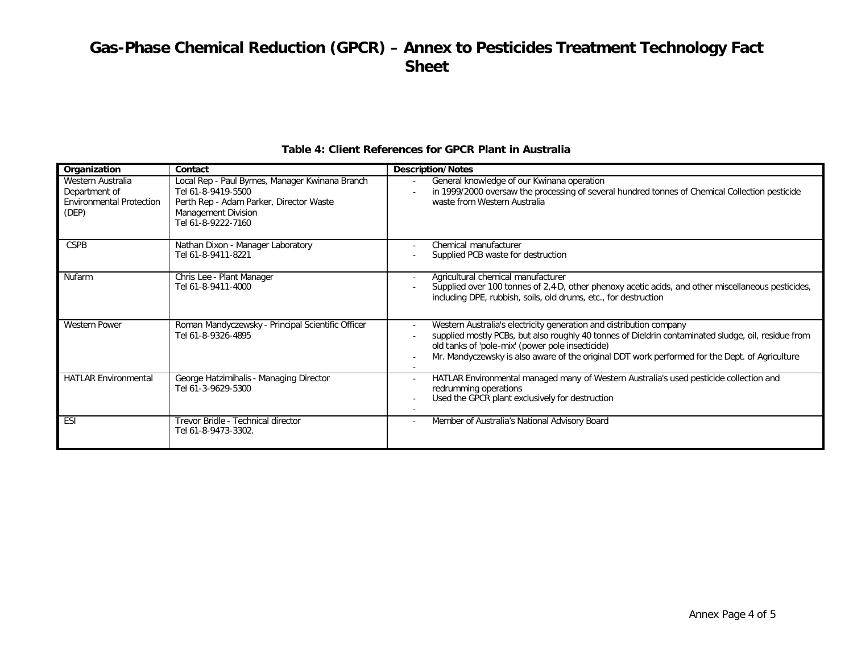| Organization                                                                   | Contact                                                                                                                                                       | <b>Description/Notes</b>                                                                                                                                                                                                                                                                                                         |
|--------------------------------------------------------------------------------|---------------------------------------------------------------------------------------------------------------------------------------------------------------|----------------------------------------------------------------------------------------------------------------------------------------------------------------------------------------------------------------------------------------------------------------------------------------------------------------------------------|
| Western Australia<br>Department of<br><b>Environmental Protection</b><br>(DEP) | Local Rep - Paul Byrnes, Manager Kwinana Branch<br>Tel 61-8-9419-5500<br>Perth Rep - Adam Parker, Director Waste<br>Management Division<br>Tel 61-8-9222-7160 | General knowledge of our Kwinana operation<br>in 1999/2000 oversaw the processing of several hundred tonnes of Chemical Collection pesticide<br>waste from Western Australia                                                                                                                                                     |
| <b>CSPB</b>                                                                    | Nathan Dixon - Manager Laboratory<br>Tel 61-8-9411-8221                                                                                                       | Chemical manufacturer<br>Supplied PCB waste for destruction                                                                                                                                                                                                                                                                      |
| Nufarm                                                                         | Chris Lee - Plant Manager<br>Tel 61-8-9411-4000                                                                                                               | Agricultural chemical manufacturer<br>Supplied over 100 tonnes of 2,4-D, other phenoxy acetic acids, and other miscellaneous pesticides,<br>including DPE, rubbish, soils, old drums, etc., for destruction                                                                                                                      |
| <b>Western Power</b>                                                           | Roman Mandyczewsky - Principal Scientific Officer<br>Tel 61-8-9326-4895                                                                                       | Western Australia's electricity generation and distribution company<br>supplied mostly PCBs, but also roughly 40 tonnes of Dieldrin contaminated sludge, oil, residue from<br>old tanks of 'pole-mix' (power pole insecticide)<br>Mr. Mandyczewsky is also aware of the original DDT work performed for the Dept. of Agriculture |
| <b>HATLAR Environmental</b>                                                    | George Hatzimihalis - Managing Director<br>Tel 61-3-9629-5300                                                                                                 | HATLAR Environmental managed many of Western Australia's used pesticide collection and<br>redrumming operations<br>Used the GPCR plant exclusively for destruction                                                                                                                                                               |
| ESI                                                                            | Trevor Bridle - Technical director<br>Tel 61-8-9473-3302.                                                                                                     | Member of Australia's National Advisory Board                                                                                                                                                                                                                                                                                    |

### **Table 4: Client References for GPCR Plant in Australia**